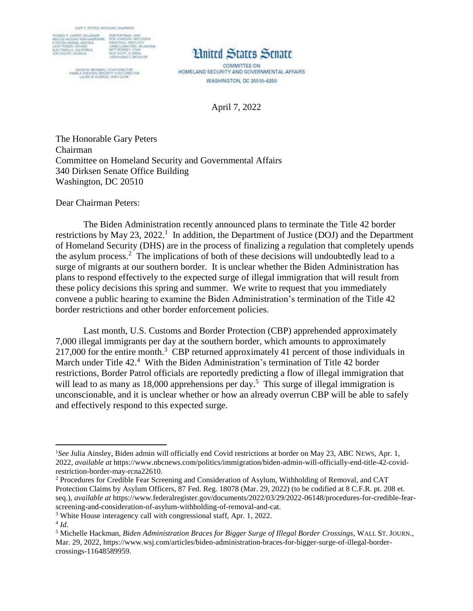

DAVID M. WEINBERG, STAFF DIRECTOR<br>PAMELA THESSEN, MINORITY STAFF DIRECTOR<br>LAURA W. KILBRIDE, OHE FIZ ERK

## **Linited States Senate**

COMMITTEE ON HOMELAND SECURITY AND GOVERNMENTAL AFFAIRS WASHINGTON, DC 20510-6250

April 7, 2022

The Honorable Gary Peters Chairman Committee on Homeland Security and Governmental Affairs 340 Dirksen Senate Office Building Washington, DC 20510

Dear Chairman Peters:

The Biden Administration recently announced plans to terminate the Title 42 border restrictions by May 23, 2022.<sup>1</sup> In addition, the Department of Justice (DOJ) and the Department of Homeland Security (DHS) are in the process of finalizing a regulation that completely upends the asylum process.<sup>2</sup> The implications of both of these decisions will undoubtedly lead to a surge of migrants at our southern border. It is unclear whether the Biden Administration has plans to respond effectively to the expected surge of illegal immigration that will result from these policy decisions this spring and summer. We write to request that you immediately convene a public hearing to examine the Biden Administration's termination of the Title 42 border restrictions and other border enforcement policies.

Last month, U.S. Customs and Border Protection (CBP) apprehended approximately 7,000 illegal immigrants per day at the southern border, which amounts to approximately 217,000 for the entire month.<sup>3</sup> CBP returned approximately 41 percent of those individuals in March under Title 42.<sup>4</sup> With the Biden Administration's termination of Title 42 border restrictions, Border Patrol officials are reportedly predicting a flow of illegal immigration that will lead to as many as  $18,000$  apprehensions per day.<sup>5</sup> This surge of illegal immigration is unconscionable, and it is unclear whether or how an already overrun CBP will be able to safely and effectively respond to this expected surge.

 $\overline{\phantom{a}}$ 

<sup>&</sup>lt;sup>1</sup>See Julia Ainsley, Biden admin will officially end Covid restrictions at border on May 23, ABC NEWS, Apr. 1, 2022, *available at* https://www.nbcnews.com/politics/immigration/biden-admin-will-officially-end-title-42-covidrestriction-border-may-rcna22610.

<sup>2</sup> Procedures for Credible Fear Screening and Consideration of Asylum, Withholding of Removal, and CAT Protection Claims by Asylum Officers, 87 Fed. Reg. 18078 (Mar. 29, 2022) (to be codified at 8 C.F.R. pt. 208 et. seq.), *available at* https://www.federalregister.gov/documents/2022/03/29/2022-06148/procedures-for-credible-fearscreening-and-consideration-of-asylum-withholding-of-removal-and-cat.

<sup>3</sup> White House interagency call with congressional staff, Apr. 1, 2022.

<sup>4</sup> *Id*.

<sup>5</sup> Michelle Hackman, *Biden Administration Braces for Bigger Surge of Illegal Border Crossings*, WALL ST. JOURN., Mar. 29, 2022, https://www.wsj.com/articles/biden-administration-braces-for-bigger-surge-of-illegal-bordercrossings-11648589959.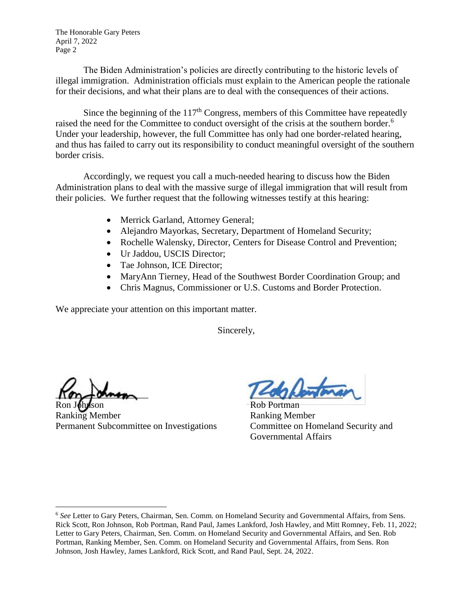The Honorable Gary Peters April 7, 2022 Page 2

The Biden Administration's policies are directly contributing to the historic levels of illegal immigration. Administration officials must explain to the American people the rationale for their decisions, and what their plans are to deal with the consequences of their actions.

Since the beginning of the  $117<sup>th</sup>$  Congress, members of this Committee have repeatedly raised the need for the Committee to conduct oversight of the crisis at the southern border.<sup>6</sup> Under your leadership, however, the full Committee has only had one border-related hearing, and thus has failed to carry out its responsibility to conduct meaningful oversight of the southern border crisis.

Accordingly, we request you call a much-needed hearing to discuss how the Biden Administration plans to deal with the massive surge of illegal immigration that will result from their policies. We further request that the following witnesses testify at this hearing:

- Merrick Garland, Attorney General;
- Alejandro Mayorkas, Secretary, Department of Homeland Security;
- Rochelle Walensky, Director, Centers for Disease Control and Prevention;
- Ur Jaddou, USCIS Director;
- Tae Johnson, ICE Director;
- MaryAnn Tierney, Head of the Southwest Border Coordination Group; and
- Chris Magnus, Commissioner or U.S. Customs and Border Protection.

We appreciate your attention on this important matter.

Sincerely,

 $\frac{1}{2}$ 

l

Ranking Member Ranking Member Permanent Subcommittee on Investigations Committee on Homeland Security and

Rob Portman Governmental Affairs

<sup>6</sup> *See* Letter to Gary Peters, Chairman, Sen. Comm. on Homeland Security and Governmental Affairs, from Sens. Rick Scott, Ron Johnson, Rob Portman, Rand Paul, James Lankford, Josh Hawley, and Mitt Romney, Feb. 11, 2022; Letter to Gary Peters, Chairman, Sen. Comm. on Homeland Security and Governmental Affairs, and Sen. Rob Portman, Ranking Member, Sen. Comm. on Homeland Security and Governmental Affairs, from Sens. Ron Johnson, Josh Hawley, James Lankford, Rick Scott, and Rand Paul, Sept. 24, 2022.